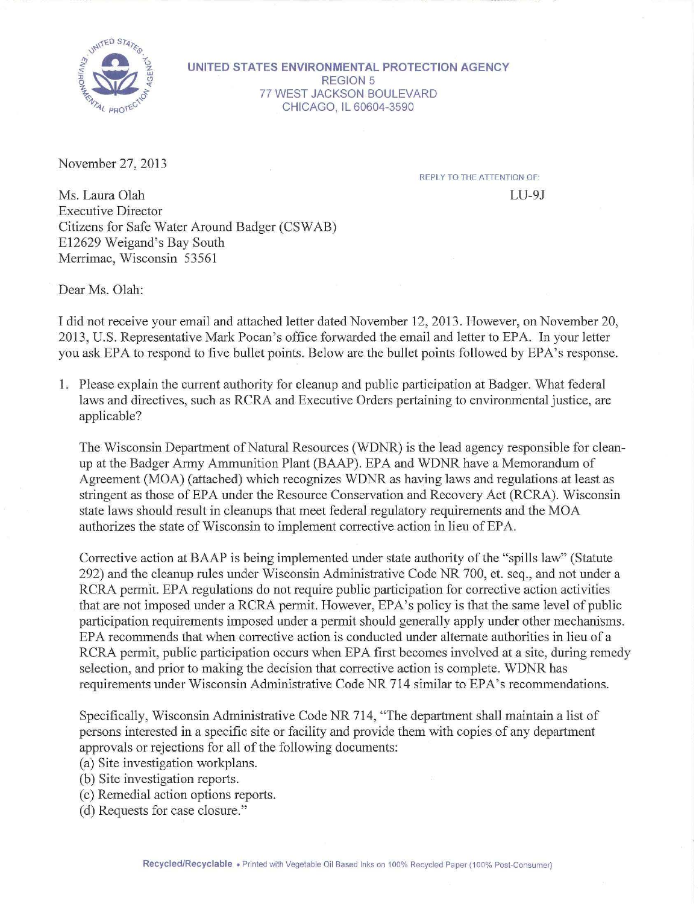

**UNITED STATES ENVIRONMENTAL PROTECTION AGENCY**  REGION 5 77 WEST JACKSON BOULEVARD CHICAGO, IL 60604-3590

November 27, 2013

REPLY TO THE ATIENTION OF:

 $LI-9J$ 

Ms. Laura Olah Executive Director Citizens for Safe Water Around Badger (CSW AB) E12629 Weigand's Bay South Merrimac, Wisconsin 53561

Dear Ms. Olah:

I did not receive your email and attached letter dated November 12, 2013. However, on November 20, 2013, U.S. Representative Mark Pocan's office forwarded the email and letter to EPA. In your letter you ask EPA to respond to five bullet points. Below are the bullet points followed by EPA's response.

1. Please explain the current authority for cleanup and public participation at Badger. What federal laws and directives, such as RCRA and Executive Orders pertaining to environmental justice, are applicable?

The Wisconsin Department of Natural Resources (WDNR) is the lead agency responsible for cleanup at the Badger Army Ammunition Plant (BAAP). EPA and WDNR have a Memorandum of Agreement (MOA) (attached) which recognizes WDNR as having laws and regulations at least as stringent as those of EPA under the Resource Conservation and Recovery Act (RCRA). Wisconsin state laws should result in cleanups that meet federal regulatory requirements and the MOA authorizes the state of Wisconsin to implement corrective action in lieu of EPA.

Corrective action at BAAP is being implemented under state authority of the "spills law" (Statute 292) and the cleanup rules under Wisconsin Administrative Code NR 700, et. seq., and not under a RCRA permit. EPA regulations do not require public participation for corrective action activities that are not imposed under a RCRA permit. However, EPA's policy is that the same level of public participation requirements imposed under a permit should generally apply under other mechanisms. EPA recommends that when corrective action is conducted under alternate authorities in lieu of a RCRA permit, public participation occurs when EPA first becomes involved at a site, during remedy selection, and prior to making the decision that corrective action is complete. WDNR has requirements under Wisconsin Administrative Code NR 714 similar to EPA's recommendations.

Specifically, Wisconsin Administrative Code NR 714, "The department shall maintain a list of persons interested in a specific site or facility and provide them with copies of any department approvals or rejections for all of the following documents:

(a) Site investigation workplans.

- (b) Site investigation reports.
- (c) Remedial action options reports.

(d) Requests for case closure."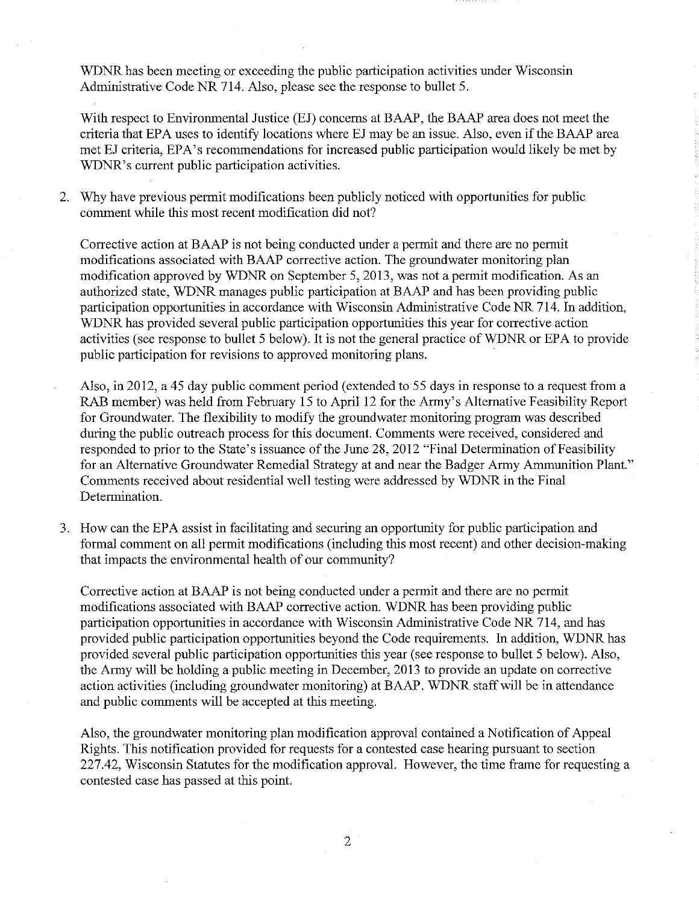WDNR has been meeting or exceeding the public participation activities under Wisconsin Administrative Code NR 714. Also, please see the response to bullet 5.

With respect to Environmental Justice (EJ) concerns at BAAP, the BAAP area does not meet the criteria that EPA uses to identify locations where EJ may be an issue. Also, even if the BAAP area met EJ criteria, EPA's recommendations for increased public participation would likely be met by WDNR's current public participation activities.

2. Why have previous permit modifications been publicly noticed with opportunities for public comment while this most recent modification did not?

Corrective action at BAAP is not being conducted under a permit and there are no permit modifications associated with BAAP corrective action. The groundwater monitoring plan modification approved by WDNR on September 5, 2013, was not a permit modification. As an authorized state, WDNR manages public participation at BAAP and has been providing public participation opportunities in accordance with Wisconsin Administrative Code NR 714. In addition, WDNR has provided several public participation opportunities this year for corrective action activities (see response to bullet 5 below). It is not the general practice of WDNR or EPA to provide public participation for revisions to approved monitoring plans.

- Also, in 2012, a 45 day public comment period (extended to 55 days in response to a request from a RAB member) was held from February 15 to April 12 for the Army's Alternative Feasibility Report for Groundwater. The flexibility to modify the groundwater monitoring program was described during the public outreach process for this document. Comments were received, considered and responded to prior to the State's issuance of the June 28, 2012 "Final Determination of Feasibility for an Alternative Groundwater Remedial Strategy at and near the Badger Army Ammunition Plant." Comments received about residential well testing were addressed by WDNR in the Final Determination.
- 3. How can the EPA assist in facilitating and securing an opportunity for public participation and formal comment on all permit modifications (including this most recent) and other decision-making that impacts the environmental health of our community?

Corrective action at BAAP is not being conducted under a permit and there are no permit modifications associated with BAAP corrective action. WDNR has been providing public participation opportunities in accordance with Wisconsin Administrative Code NR 714, and has provided public participation opportunities beyond the Code requirements. In addition, WDNR has provided several public participation opportunities this year (see response to bullet 5 below). Also, the Army will be holding a public meeting in December, 2013 to provide an update on corrective action activities (including groundwater monitoring) at BAAP. WDNR staff will be in attendance and public comments will be accepted at this meeting.

Also, the groundwater monitoring plan modification approval contained a Notification of Appeal Rights. This notification provided for requests for a contested case hearing pursuant to section 227.42, Wisconsin Statutes for the modification approval. However, the time frame for requesting a contested case has passed at this point.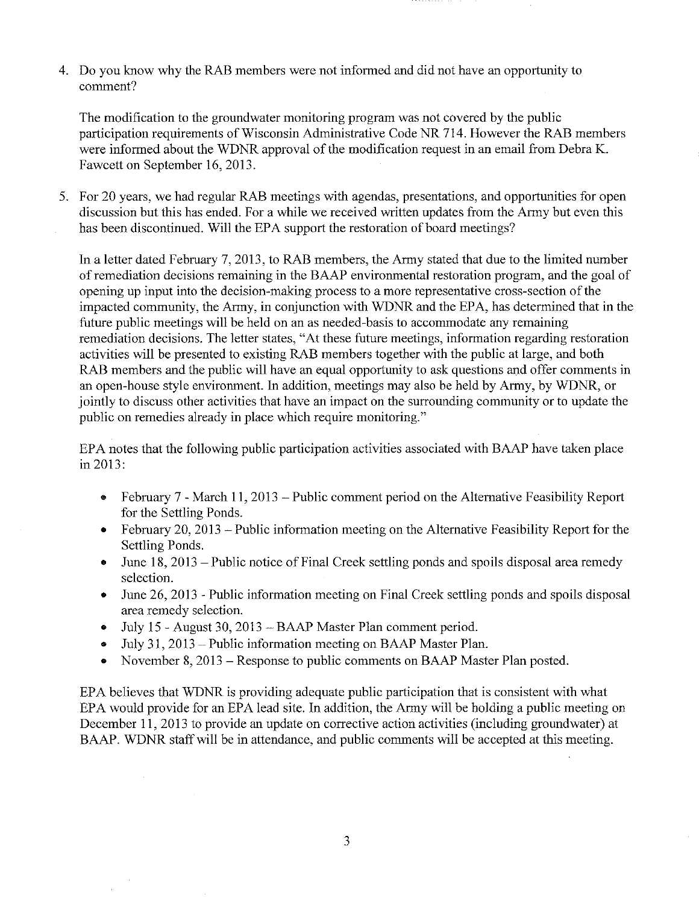4. Do you know why the RAB members were not informed and did not have an opportunity to comment?

The modification to the groundwater monitoring program was not covered by the public participation requirements of Wisconsin Administrative Code NR 714. However the RAB members were informed about the WDNR approval of the modification request in an email from Debra K. Fawcett on September 16, 2013.

5. For 20 years, we had regular RAB meetings with agendas, presentations, and opportunities for open discussion but this has ended. For a while we received written updates from the Army but even this has been discontinued. Will the EPA support the restoration of board meetings?

In a letter dated February 7, 2013, to RAB members, the Army stated that due to the limited number of remediation decisions remaining in the BAAP enviromnental restoration program, and the goal of opening up input into the decision-making process to a more representative cross-section of the impacted community, the Army, in conjunction with WDNR and the EPA, has determined that in the future public meetings will be held on an as needed-basis to accommodate any remaining remediation decisions. The letter states, "At these future meetings, information regarding restoration activities will be presented to existing RAB members together with the public at large, and both RAB members and the public will have an equal opportunity to ask questions and offer comments in an open-house style enviromnent. In addition, meetings may also be held by Army, by WDNR, or jointly to discuss other activities that have an impact on the surrounding community or to update the public on remedies already in place which require monitoring."

EPA notes that the following public participation activities associated with BAAP have taken place in 2013:

- February 7 March 11, 2013 Public comment period on the Alternative Feasibility Report for the Settling Ponds.
- February 20, 2013 Public information meeting on the Alternative Feasibility Report for the Settling Ponds.
- June 18, 2013 Public notice of Final Creek settling ponds and spoils disposal area remedy selection.
- June 26, 2013 Public information meeting on Final Creek settling ponds and spoils disposal area remedy selection.
- July 15- August 30,2013- BAAP Master Plan comment period.
- July 31, 2013 Public information meeting on BAAP Master Plan.
- November 8, 2013 Response to public comments on BAAP Master Plan posted.

EPA believes that WDNR is providing adequate public participation that is consistent with what EPA would provide for an EPA lead site. In addition, the Army will be holding a public meeting on December II, 2013 to provide an update on corrective action activities (including groundwater) at BAAP. WDNR staff will be in attendance, and public comments will be accepted at this meeting.